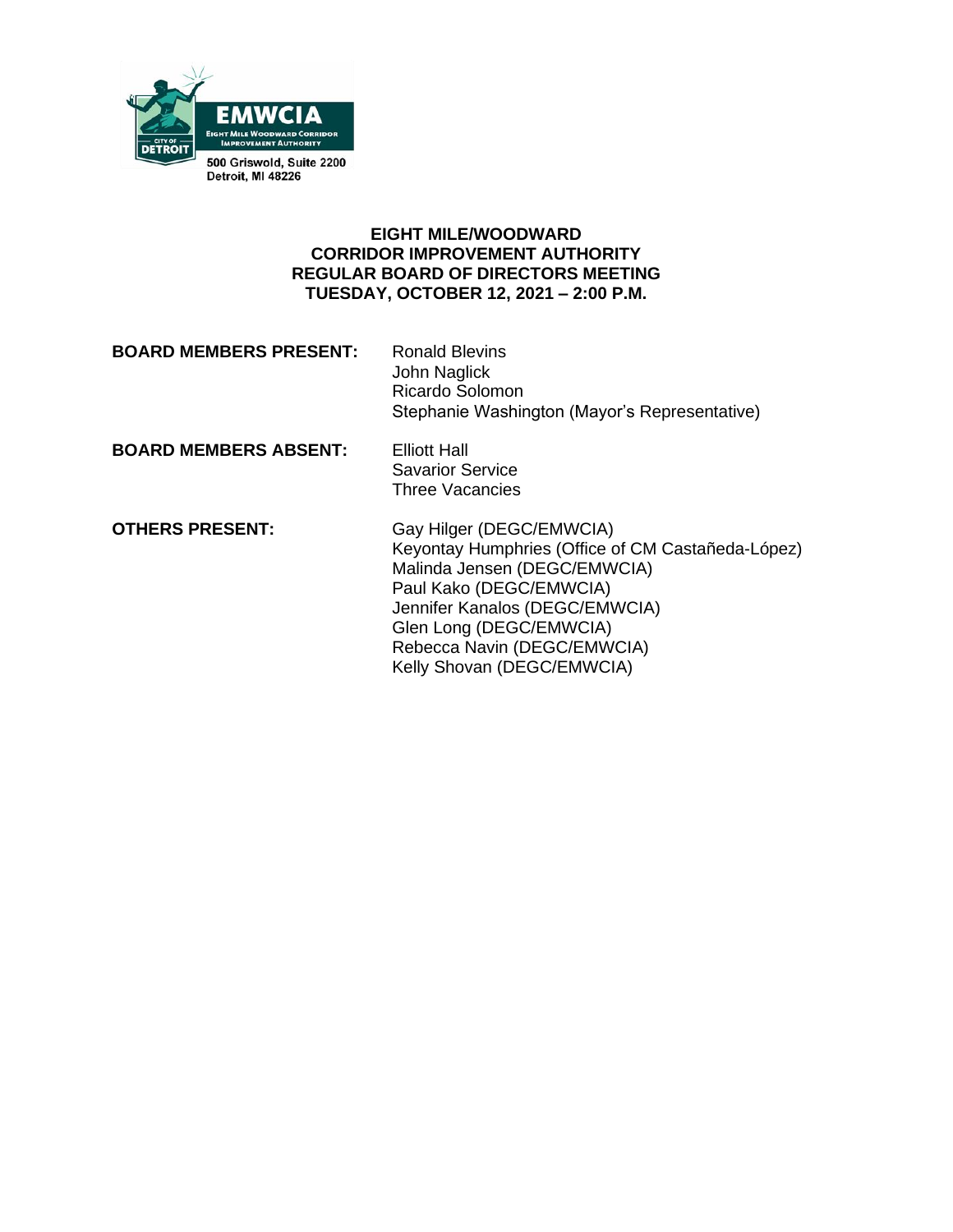

### **EIGHT MILE/WOODWARD CORRIDOR IMPROVEMENT AUTHORITY REGULAR BOARD OF DIRECTORS MEETING TUESDAY, OCTOBER 12, 2021 – 2:00 P.M.**

| <b>BOARD MEMBERS PRESENT:</b> | <b>Ronald Blevins</b><br>John Naglick<br>Ricardo Solomon<br>Stephanie Washington (Mayor's Representative)     |
|-------------------------------|---------------------------------------------------------------------------------------------------------------|
| <b>BOARD MEMBERS ABSENT:</b>  | Elliott Hall<br><b>Savarior Service</b><br>Three Vacancies                                                    |
| <b>OTHERS PRESENT:</b>        | Gay Hilger (DEGC/EMWCIA)<br>Keyontay Humphries (Office of CM Castañeda-López)<br>Malinda Jensen (DEGC/EMWCIA) |

Paul Kako (DEGC/EMWCIA) Jennifer Kanalos (DEGC/EMWCIA) Glen Long (DEGC/EMWCIA) Rebecca Navin (DEGC/EMWCIA) Kelly Shovan (DEGC/EMWCIA)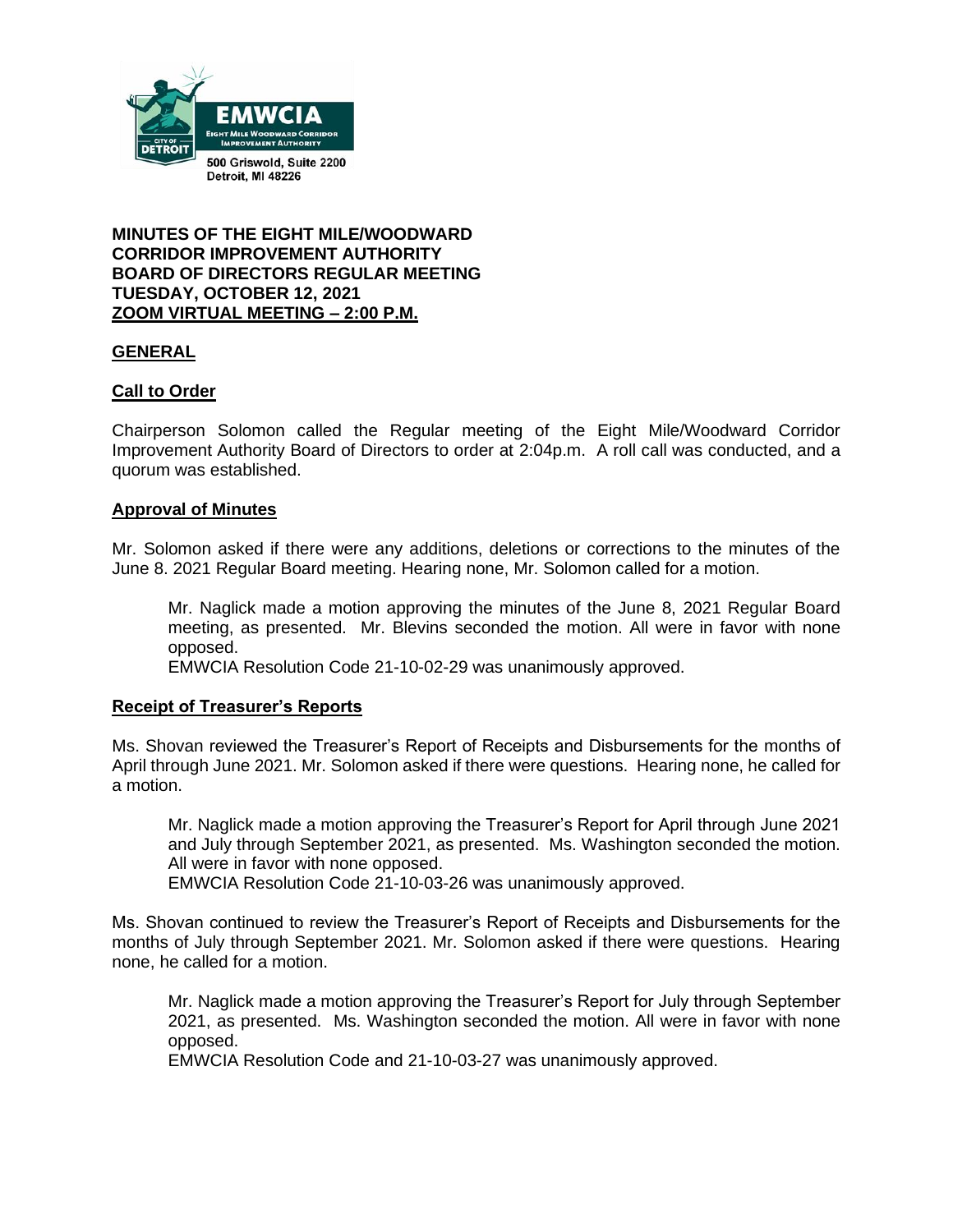

**MINUTES OF THE EIGHT MILE/WOODWARD CORRIDOR IMPROVEMENT AUTHORITY BOARD OF DIRECTORS REGULAR MEETING TUESDAY, OCTOBER 12, 2021 ZOOM VIRTUAL MEETING – 2:00 P.M.**

### **GENERAL**

### **Call to Order**

Chairperson Solomon called the Regular meeting of the Eight Mile/Woodward Corridor Improvement Authority Board of Directors to order at 2:04p.m. A roll call was conducted, and a quorum was established.

#### **Approval of Minutes**

Mr. Solomon asked if there were any additions, deletions or corrections to the minutes of the June 8. 2021 Regular Board meeting. Hearing none, Mr. Solomon called for a motion.

Mr. Naglick made a motion approving the minutes of the June 8, 2021 Regular Board meeting, as presented. Mr. Blevins seconded the motion. All were in favor with none opposed.

EMWCIA Resolution Code 21-10-02-29 was unanimously approved.

#### **Receipt of Treasurer's Reports**

Ms. Shovan reviewed the Treasurer's Report of Receipts and Disbursements for the months of April through June 2021. Mr. Solomon asked if there were questions. Hearing none, he called for a motion.

Mr. Naglick made a motion approving the Treasurer's Report for April through June 2021 and July through September 2021, as presented. Ms. Washington seconded the motion. All were in favor with none opposed.

EMWCIA Resolution Code 21-10-03-26 was unanimously approved.

Ms. Shovan continued to review the Treasurer's Report of Receipts and Disbursements for the months of July through September 2021. Mr. Solomon asked if there were questions. Hearing none, he called for a motion.

Mr. Naglick made a motion approving the Treasurer's Report for July through September 2021, as presented. Ms. Washington seconded the motion. All were in favor with none opposed.

EMWCIA Resolution Code and 21-10-03-27 was unanimously approved.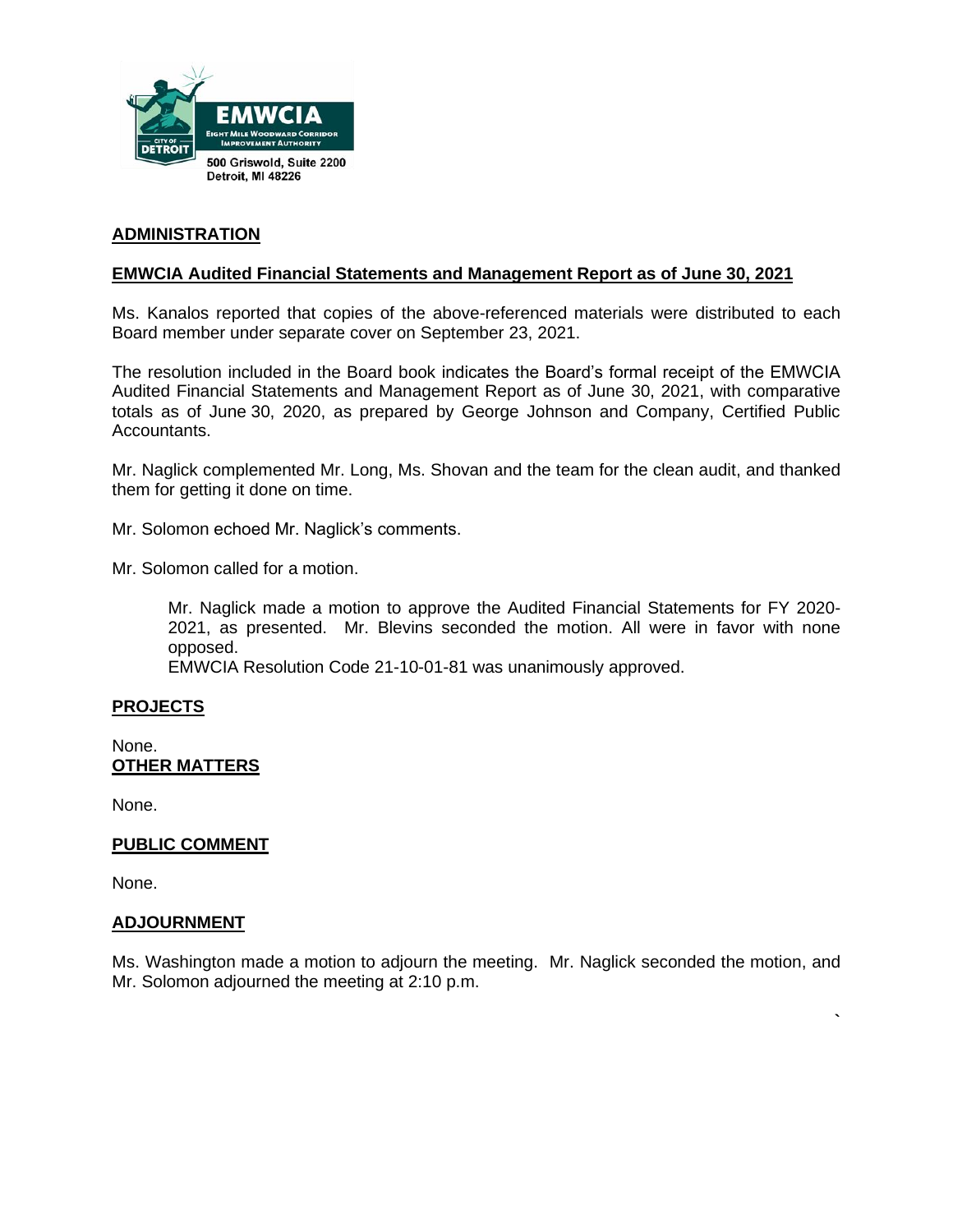

### **ADMINISTRATION**

### **EMWCIA Audited Financial Statements and Management Report as of June 30, 2021**

Ms. Kanalos reported that copies of the above-referenced materials were distributed to each Board member under separate cover on September 23, 2021.

The resolution included in the Board book indicates the Board's formal receipt of the EMWCIA Audited Financial Statements and Management Report as of June 30, 2021, with comparative totals as of June 30, 2020, as prepared by George Johnson and Company, Certified Public Accountants.

Mr. Naglick complemented Mr. Long, Ms. Shovan and the team for the clean audit, and thanked them for getting it done on time.

Mr. Solomon echoed Mr. Naglick's comments.

Mr. Solomon called for a motion.

Mr. Naglick made a motion to approve the Audited Financial Statements for FY 2020- 2021, as presented. Mr. Blevins seconded the motion. All were in favor with none opposed.

EMWCIA Resolution Code 21-10-01-81 was unanimously approved.

#### **PROJECTS**

None. **OTHER MATTERS**

None.

#### **PUBLIC COMMENT**

None.

#### **ADJOURNMENT**

Ms. Washington made a motion to adjourn the meeting. Mr. Naglick seconded the motion, and Mr. Solomon adjourned the meeting at 2:10 p.m.

**`**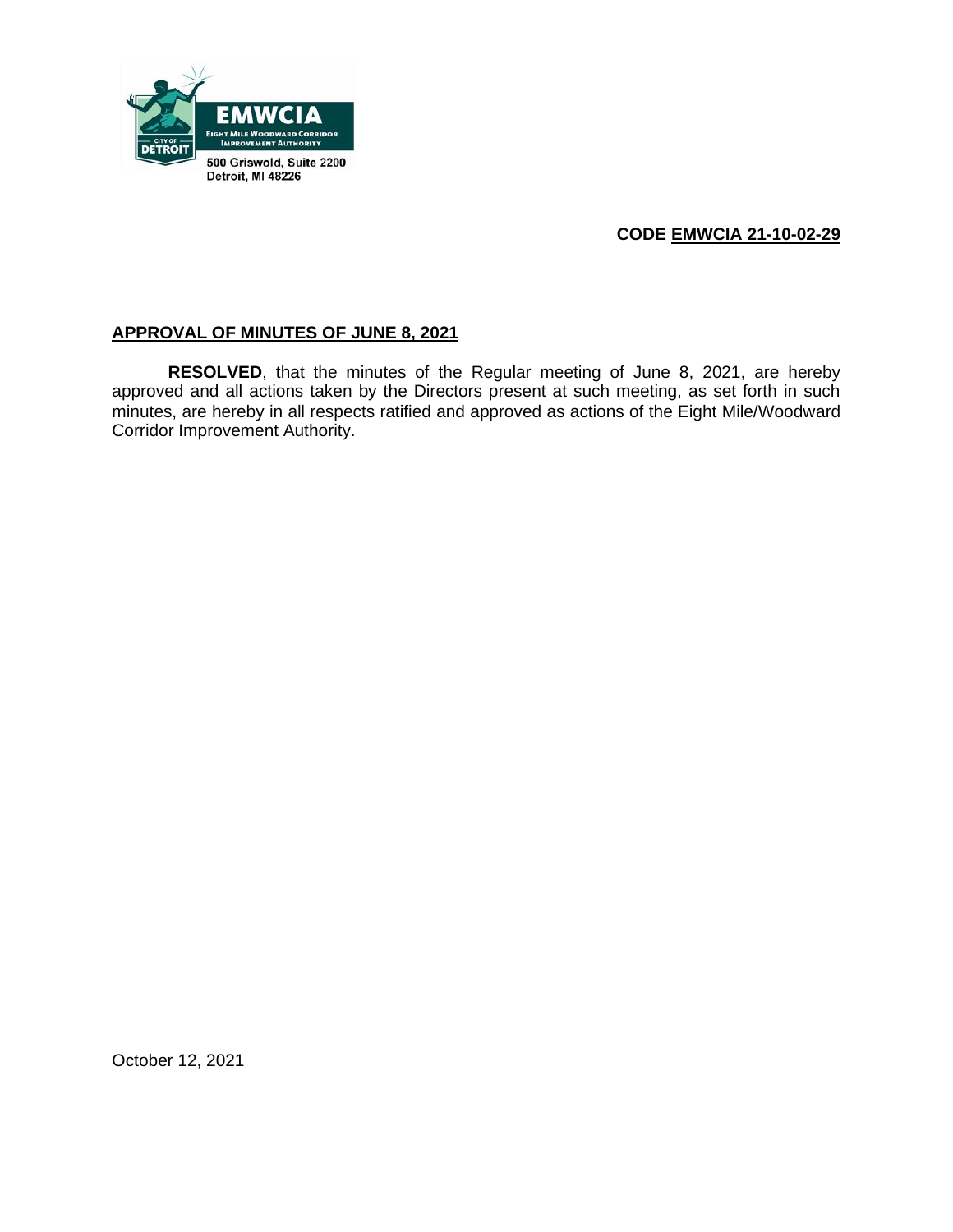

## **CODE EMWCIA 21-10-02-29**

## **APPROVAL OF MINUTES OF JUNE 8, 2021**

**RESOLVED**, that the minutes of the Regular meeting of June 8, 2021, are hereby approved and all actions taken by the Directors present at such meeting, as set forth in such minutes, are hereby in all respects ratified and approved as actions of the Eight Mile/Woodward Corridor Improvement Authority.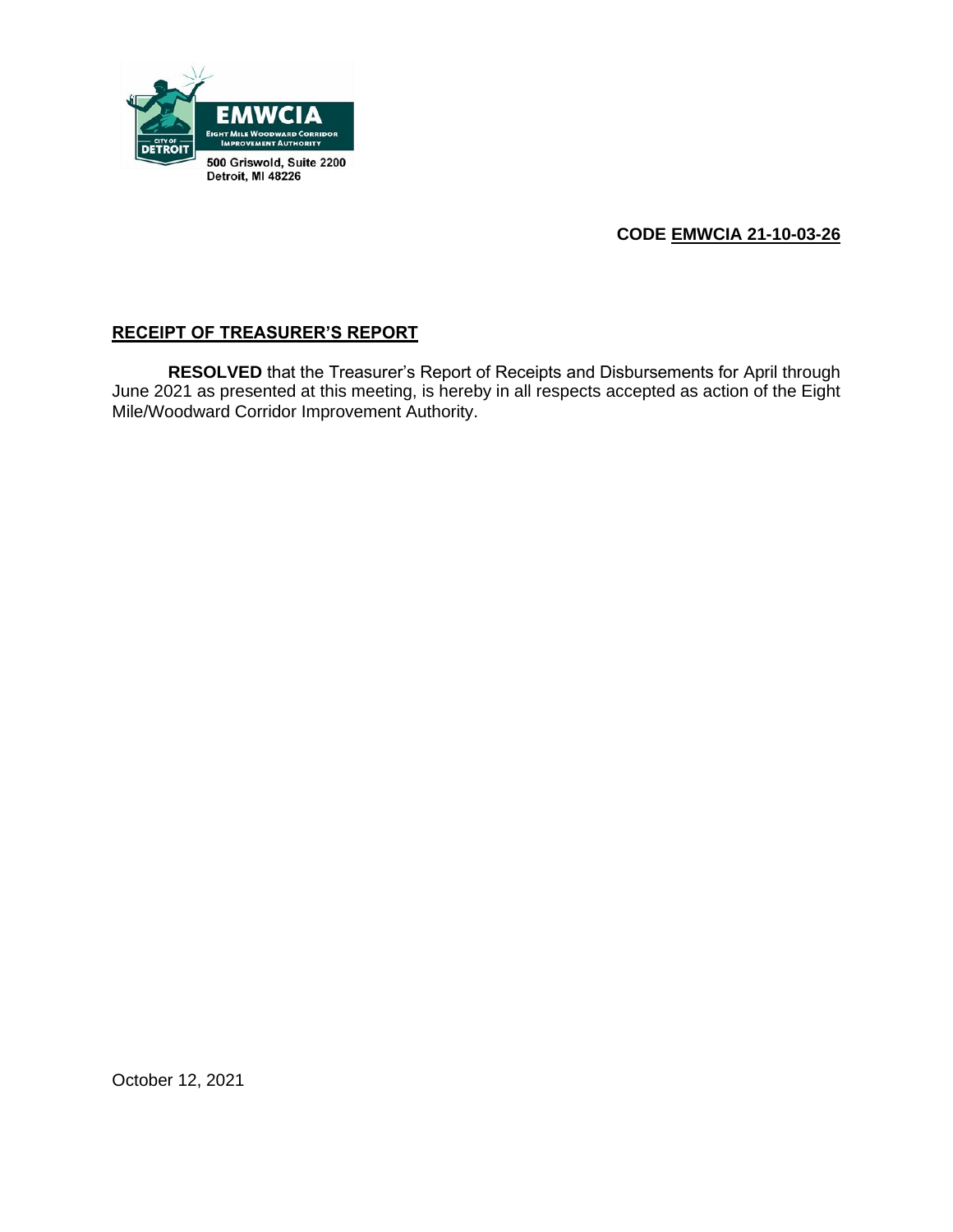

# **CODE EMWCIA 21-10-03-26**

## **RECEIPT OF TREASURER'S REPORT**

**RESOLVED** that the Treasurer's Report of Receipts and Disbursements for April through June 2021 as presented at this meeting, is hereby in all respects accepted as action of the Eight Mile/Woodward Corridor Improvement Authority.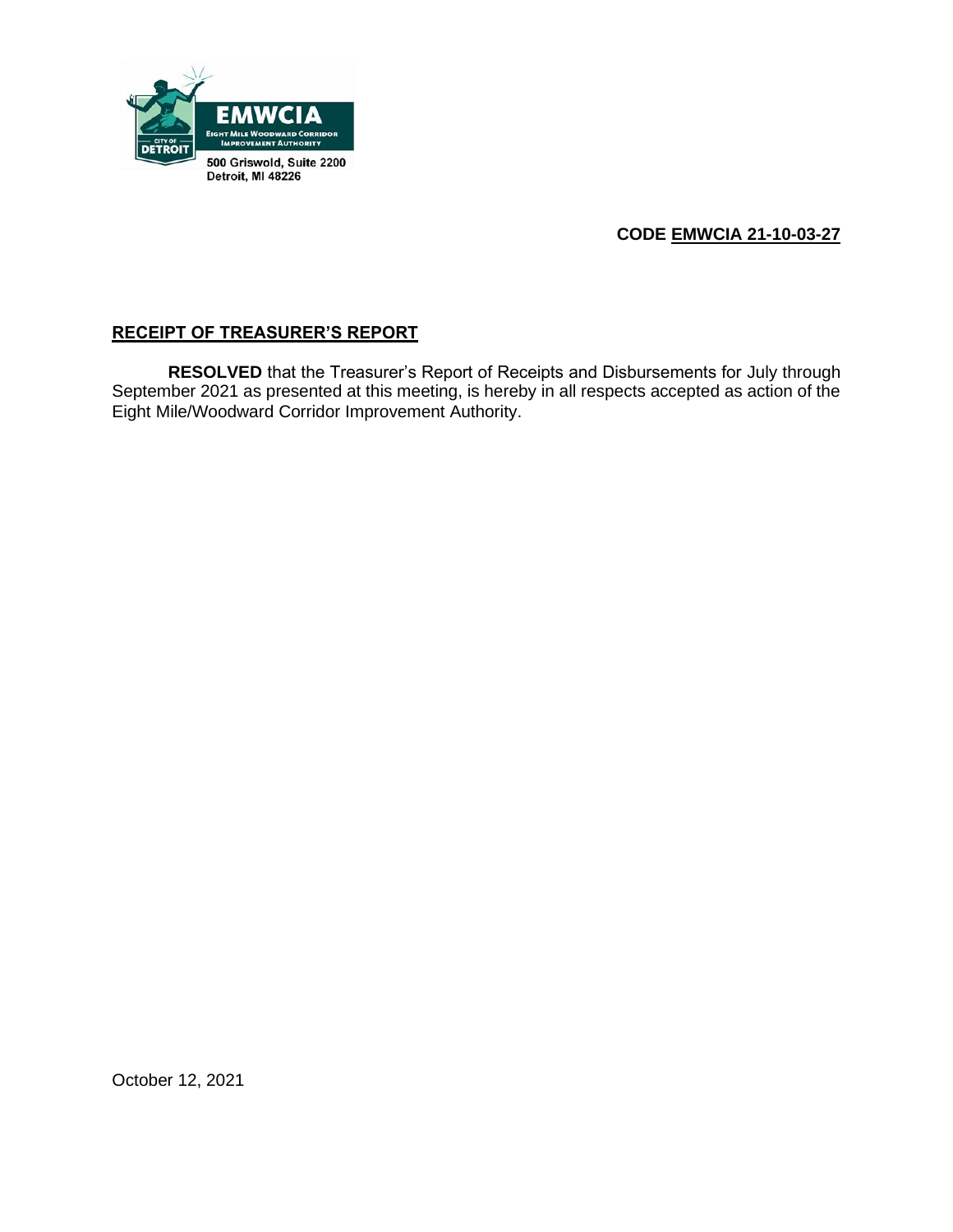

# **CODE EMWCIA 21-10-03-27**

## **RECEIPT OF TREASURER'S REPORT**

**RESOLVED** that the Treasurer's Report of Receipts and Disbursements for July through September 2021 as presented at this meeting, is hereby in all respects accepted as action of the Eight Mile/Woodward Corridor Improvement Authority.